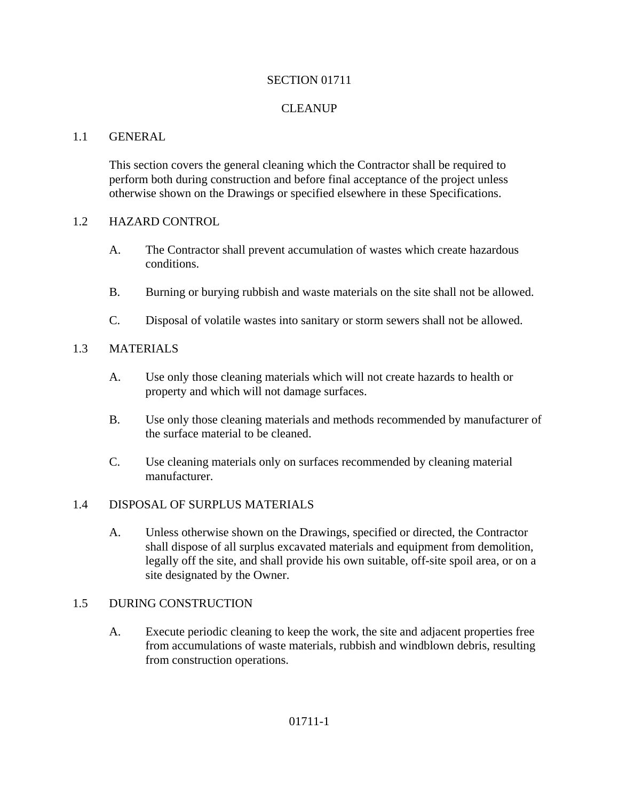#### SECTION 01711

## **CLEANUP**

#### 1.1 GENERAL

This section covers the general cleaning which the Contractor shall be required to perform both during construction and before final acceptance of the project unless otherwise shown on the Drawings or specified elsewhere in these Specifications.

#### 1.2 HAZARD CONTROL

- A. The Contractor shall prevent accumulation of wastes which create hazardous conditions.
- B. Burning or burying rubbish and waste materials on the site shall not be allowed.
- C. Disposal of volatile wastes into sanitary or storm sewers shall not be allowed.

## 1.3 MATERIALS

- A. Use only those cleaning materials which will not create hazards to health or property and which will not damage surfaces.
- B. Use only those cleaning materials and methods recommended by manufacturer of the surface material to be cleaned.
- C. Use cleaning materials only on surfaces recommended by cleaning material manufacturer.

## 1.4 DISPOSAL OF SURPLUS MATERIALS

A. Unless otherwise shown on the Drawings, specified or directed, the Contractor shall dispose of all surplus excavated materials and equipment from demolition, legally off the site, and shall provide his own suitable, off-site spoil area, or on a site designated by the Owner.

## 1.5 DURING CONSTRUCTION

A. Execute periodic cleaning to keep the work, the site and adjacent properties free from accumulations of waste materials, rubbish and windblown debris, resulting from construction operations.